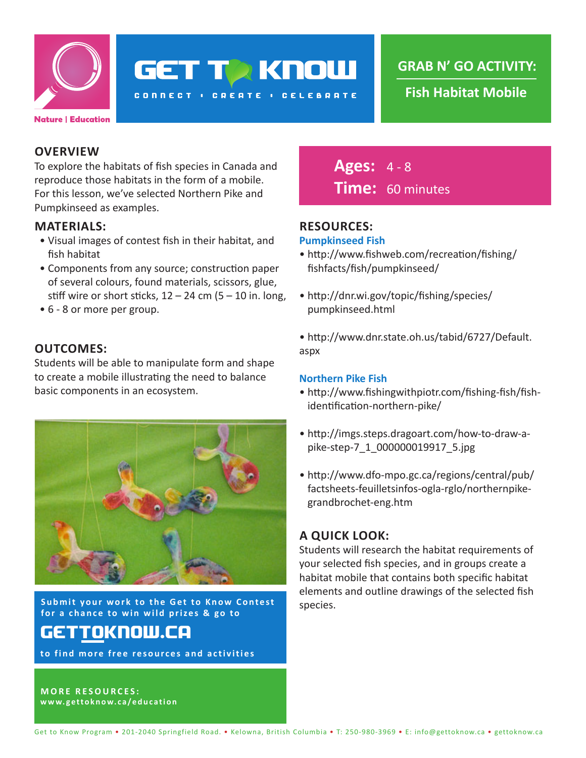

**GET TO KNOW** 

**CONNECT : CREATE : CELEBRATE** 

**GRAB N' GO ACTIVITY:**

**Fish Habitat Mobile**

## **OVERVIEW**

To explore the habitats of fish species in Canada and reproduce those habitats in the form of a mobile. For this lesson, we've selected Northern Pike and Pumpkinseed as examples.

### **MATERIALS:**

- Visual images of contest fish in their habitat, and fish habitat
- Components from any source; construction paper of several colours, found materials, scissors, glue, stiff wire or short sticks,  $12 - 24$  cm  $(5 - 10)$  in. long,
- 6 8 or more per group.

# **OUTCOMES:**

Students will be able to manipulate form and shape to create a mobile illustrating the need to balance basic components in an ecosystem.



Submit your work to the Get to Know Contest species. **for a chance to win wild prizes & go to**

# gettoknow.ca

**to find more free resources and activities**

# **Ages:** 4 - 8 **Time:** 60 minutes

# **RESOURCES:**

#### **Pumpkinseed Fish**

- http://www.fishweb.com/recreation/fishing/ fishfacts/fish/pumpkinseed/
- http://dnr.wi.gov/topic/fishing/species/ pumpkinseed.html

• http://www.dnr.state.oh.us/tabid/6727/Default. aspx

#### **Northern Pike Fish**

- http://www.fishingwithpiotr.com/fishing-fish/fishidentification-northern-pike/
- http://imgs.steps.dragoart.com/how-to-draw-apike-step-7\_1\_000000019917\_5.jpg
- http://www.dfo-mpo.gc.ca/regions/central/pub/ factsheets-feuilletsinfos-ogla-rglo/northernpikegrandbrochet-eng.htm

# **A QUICK LOOK:**

Students will research the habitat requirements of your selected fish species, and in groups create a habitat mobile that contains both specific habitat elements and outline drawings of the selected fish

**MORE RESOURCES: www.gettoknow.ca/education**